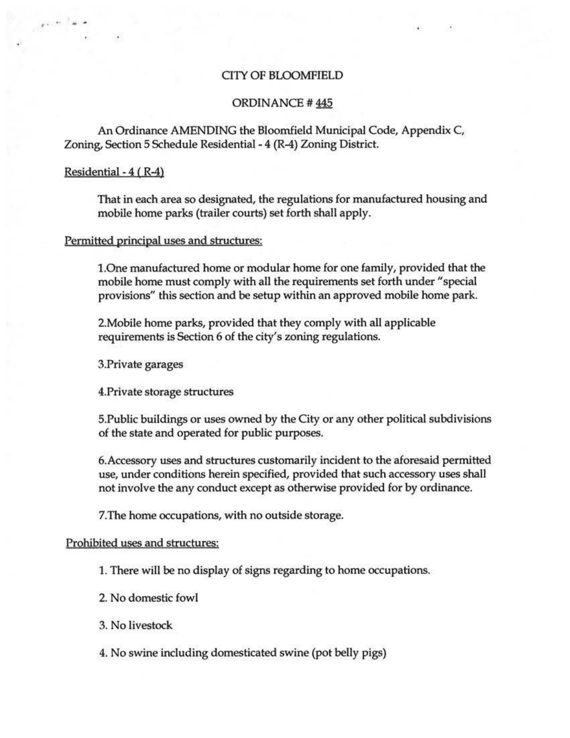# CITY OF BLOOMFIELD

## ORDINANCE# 445

An Ordinance AMENDING the Bloomfield Municipal Code, Appendix C, Zoning, Section 5 Schedule Residential - 4 (R-4) Zoning District.

#### Residential - 4 ( R-4)

 $\mathbf{r} \cdot \mathbf{r}$  .

That in each area so designated, the regulations for manufactured housing and mobile home parks (trailer courts) set forth shall apply.

### Permitted principal uses and structures:

l.One manufactured home or modular home for one family, provided that the mobile home must comply with all the requirements set forth under "special provisions" this section and be setup within an approved mobile home park.

2.Mobile home parks, provided that they comply with all applicable requirements is Section 6 of the city's zoning regulations.

3.Private garages

4.Private storage structures

S.Public buildings or uses owned by the City or any other political subdivisions of the state and operated for public purposes.

6.Accessory uses and structures customarily incident to the aforesaid permitted use, under conditions herein specified, provided that such accessory uses shall not involve the any conduct except as otherwise provided for by ordinance.

7.The home occupations, with no outside storage.

#### Prohibited uses and structures:

1. There will be no display of signs regarding to home occupations.

2. No domestic fowl

3. No livestock

4. No swine including domesticated swine (pot belly pigs)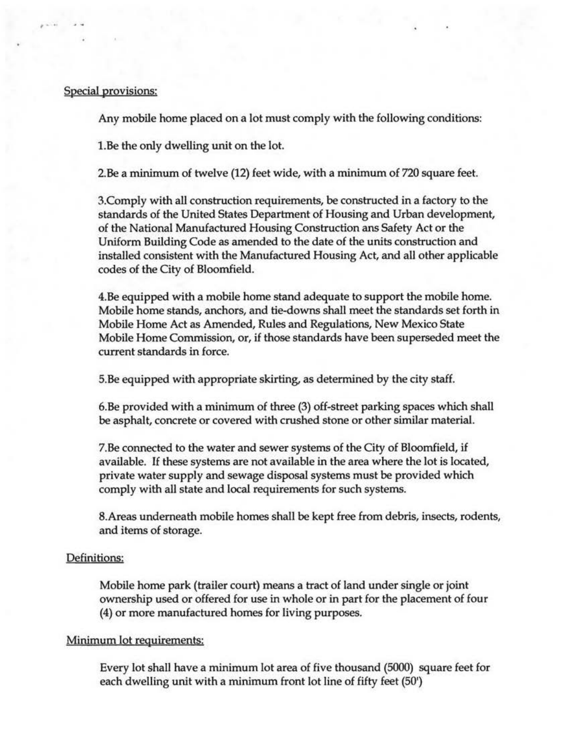## Special provisions:

' . .

Any mobile home placed on a lot must comply with the following conditions:

1.Be the only dwelling unit on the lot.

2. Be a minimum of twelve (12) feet wide, with a minimum of 720 square feet.

3.Comply with all construction requirements, be constructed in a factory to the standards of the United States Department of Housing and Urban development, of the National Manufactured Housing Construction ans Safety Act or the Uniform Building Code as amended to the date of the units construction and installed consistent with the Manufactured Housing Act, and all other applicable codes of the City of Bloomfield.

4.Be equipped with a mobile home stand adequate to support the mobile home. Mobile home stands, anchors, and tie-downs shall meet the standards set forth in Mobile Home Act as Amended, Rules and Regulations, New Mexico State Mobile Home Commission, or, if those standards have been superseded meet the current standards in force.

5.Be equipped with appropriate skirting, as determined by the city staff.

6.Be provided with a minimum of three (3) off-street parking spaces which shall be asphalt, concrete or covered with crushed stone or other similar material.

7.Be connected to the water and sewer systems of the City of Bloomfield, if available. If these systems are not available in the area where the lot is located, private water supply and sewage disposal systems must be provided which comply with all state and local requirements for such systems.

8.Areas underneath mobile homes shall be kept free from debris, insects, rodents, and items of storage.

#### Definitions:

Mobile home park (trailer court) means a tract of land under single or joint ownership used or offered for use in whole or in part for the placement of four (4) or more manufactured homes for living purposes.

### Minimum lot requirements:

Every lot shall have a minimum lot area of five thousand (5000) square feet for each dwelling unit with a minimum front lot line of fifty feet (50')